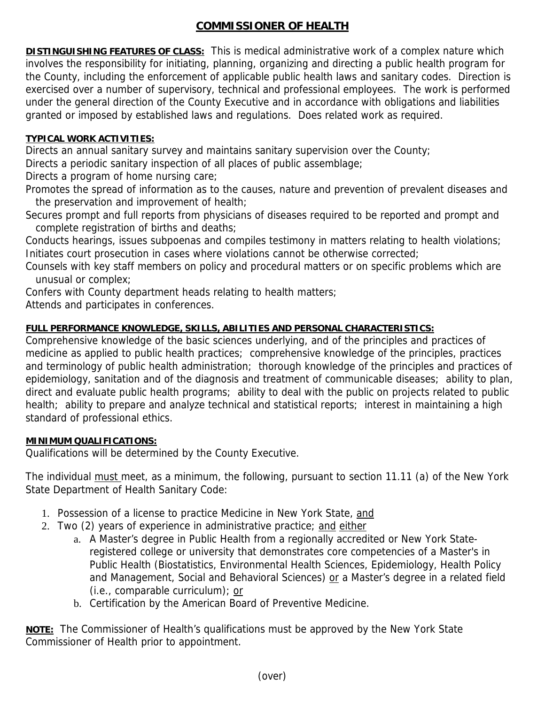## **COMMISSIONER OF HEALTH**

**DISTINGUISHING FEATURES OF CLASS:** This is medical administrative work of a complex nature which involves the responsibility for initiating, planning, organizing and directing a public health program for the County, including the enforcement of applicable public health laws and sanitary codes. Direction is exercised over a number of supervisory, technical and professional employees. The work is performed under the general direction of the County Executive and in accordance with obligations and liabilities granted or imposed by established laws and regulations. Does related work as required.

## **TYPICAL WORK ACTIVITIES:**

Directs an annual sanitary survey and maintains sanitary supervision over the County;

Directs a periodic sanitary inspection of all places of public assemblage;

Directs a program of home nursing care;

Promotes the spread of information as to the causes, nature and prevention of prevalent diseases and the preservation and improvement of health;

Secures prompt and full reports from physicians of diseases required to be reported and prompt and complete registration of births and deaths;

Conducts hearings, issues subpoenas and compiles testimony in matters relating to health violations; Initiates court prosecution in cases where violations cannot be otherwise corrected;

Counsels with key staff members on policy and procedural matters or on specific problems which are unusual or complex;

Confers with County department heads relating to health matters;

Attends and participates in conferences.

## **FULL PERFORMANCE KNOWLEDGE, SKILLS, ABILITIES AND PERSONAL CHARACTERISTICS:**

Comprehensive knowledge of the basic sciences underlying, and of the principles and practices of medicine as applied to public health practices; comprehensive knowledge of the principles, practices and terminology of public health administration; thorough knowledge of the principles and practices of epidemiology, sanitation and of the diagnosis and treatment of communicable diseases; ability to plan, direct and evaluate public health programs; ability to deal with the public on projects related to public health; ability to prepare and analyze technical and statistical reports; interest in maintaining a high standard of professional ethics.

## **MINIMUM QUALIFICATIONS:**

Qualifications will be determined by the County Executive.

The individual must meet, as a minimum, the following, pursuant to section 11.11 (a) of the New York State Department of Health Sanitary Code:

- 1. Possession of a license to practice Medicine in New York State, and
- 2. Two (2) years of experience in administrative practice; and either
	- a. A Master's degree in Public Health from a regionally accredited or New York Stateregistered college or university that demonstrates core competencies of a Master's in Public Health (Biostatistics, Environmental Health Sciences, Epidemiology, Health Policy and Management, Social and Behavioral Sciences) or a Master's degree in a related field (i.e., comparable curriculum); or
	- b. Certification by the American Board of Preventive Medicine.

**NOTE:** The Commissioner of Health's qualifications must be approved by the New York State Commissioner of Health prior to appointment.